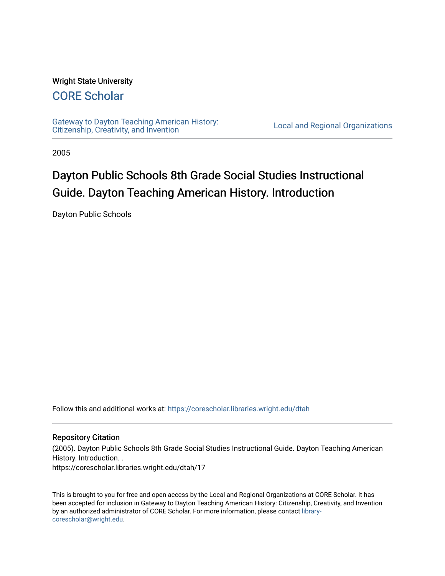#### Wright State University

### [CORE Scholar](https://corescholar.libraries.wright.edu/)

[Gateway to Dayton Teaching American History:](https://corescholar.libraries.wright.edu/dtah)  Gateway to Dayton Teaching American History.<br>[Citizenship, Creativity, and Invention](https://corescholar.libraries.wright.edu/dtah) Local and Regional Organizations

2005

# Dayton Public Schools 8th Grade Social Studies Instructional Guide. Dayton Teaching American History. Introduction

Dayton Public Schools

Follow this and additional works at: [https://corescholar.libraries.wright.edu/dtah](https://corescholar.libraries.wright.edu/dtah?utm_source=corescholar.libraries.wright.edu%2Fdtah%2F17&utm_medium=PDF&utm_campaign=PDFCoverPages)

#### Repository Citation

(2005). Dayton Public Schools 8th Grade Social Studies Instructional Guide. Dayton Teaching American History. Introduction. .

https://corescholar.libraries.wright.edu/dtah/17

This is brought to you for free and open access by the Local and Regional Organizations at CORE Scholar. It has been accepted for inclusion in Gateway to Dayton Teaching American History: Citizenship, Creativity, and Invention by an authorized administrator of CORE Scholar. For more information, please contact [library](mailto:library-corescholar@wright.edu)[corescholar@wright.edu](mailto:library-corescholar@wright.edu).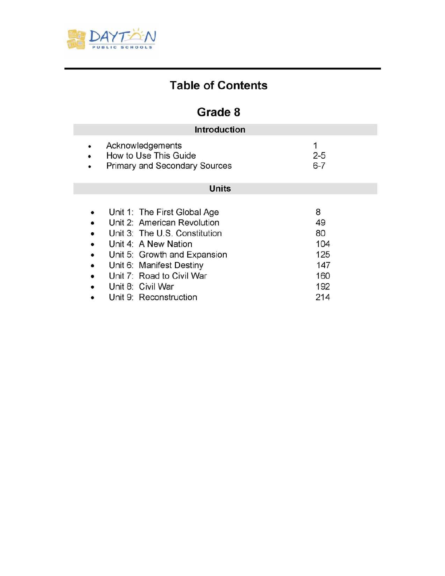

# **Table of Contents**

# **Grade 8**

| <b>Introduction</b>                                                                  |                                                                                                                                                                                                                                                              |                                                         |  |  |  |  |  |
|--------------------------------------------------------------------------------------|--------------------------------------------------------------------------------------------------------------------------------------------------------------------------------------------------------------------------------------------------------------|---------------------------------------------------------|--|--|--|--|--|
| $\bullet$<br>٠                                                                       | Acknowledgements<br>How to Use This Guide<br><b>Primary and Secondary Sources</b>                                                                                                                                                                            | $2 - 5$<br>$6 - 7$                                      |  |  |  |  |  |
| <b>Units</b>                                                                         |                                                                                                                                                                                                                                                              |                                                         |  |  |  |  |  |
| $\bullet$<br>$\bullet$<br>٠<br>$\bullet$<br>$\bullet$<br>$\bullet$<br>$\bullet$<br>٠ | Unit 1: The First Global Age<br>Unit 2: American Revolution<br>Unit 3: The U.S. Constitution<br>Unit 4: A New Nation<br>Unit 5: Growth and Expansion<br>Unit 6: Manifest Destiny<br>Unit 7: Road to Civil War<br>Unit 8: Civil War<br>Unit 9: Reconstruction | 8<br>49<br>80<br>104<br>125<br>147<br>160<br>192<br>214 |  |  |  |  |  |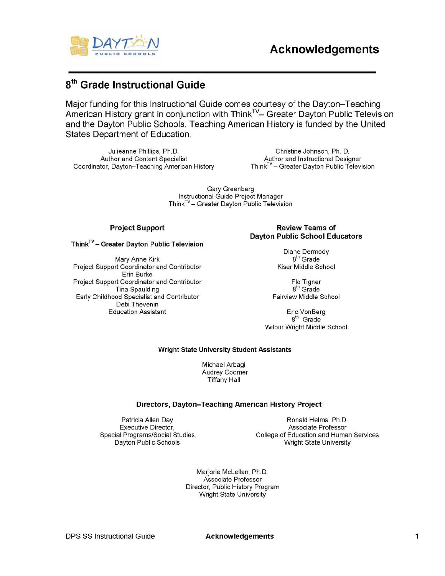

## 8th **Grade Instructional Guide**

Major funding for this Instructional Guide comes courtesy of the Dayton-Teaching American History grant in conjunction with Think<sup>TV</sup>- Greater Dayton Public Television and the Dayton Public Schools. Teaching American History is funded by the United States Department of Education.

Julieanne Phillips, Ph.D. Christine Johnson, Ph. D. Author and Content Specialist **Author and Instructional Designer** Coordinator, Dayton-Teaching American History Think<sup>TV</sup> - Greater Dayton Public Television

Gary Greenberg Instructional Guide Project Manager  $Think<sup>TV</sup>$  – Greater Dayton Public Television

#### $Think<sup>TV</sup> - Greater$  Dayton Public Television

Mary Anne Kirk 8th Grade<br>The Grade 19th Coordinator and Contributor 8th Grade 19th Grade 19th Grade 19th Grade 19th Grade 19th Grade 1 Project Support Coordinator and Contributor Erin Burke Project Support Coordinator and Contributor Flo Tigner<br>Tina Spaulding Flo Tigner Single B<sup>th</sup> Grade **Tina Spaulding** Early Childhood Specialist and Contributor Fairview Middle School Debi Thevenin Education Assistant **Education** Assistant

#### Project Support **Review Teams** of Dayton Public School Educators

Diane Dermody

8<sup>th</sup> Grade Wilbur Wright Middle School

#### Wright State University Student Assistants

Michael Arbagi Audrey Coomer Tiffany Hall

#### Directors, Dayton-Teaching American History Project

Patricia Allen Day **Ronald Helms**, Ph.D. Executive Director, Associate Professor Special Programs/Social Studies College of Education and Human Services Dayton Public Schools Wright State University

> Marjorie McLellan, Ph.D. Associate Professor Director, Public History Program Wright State University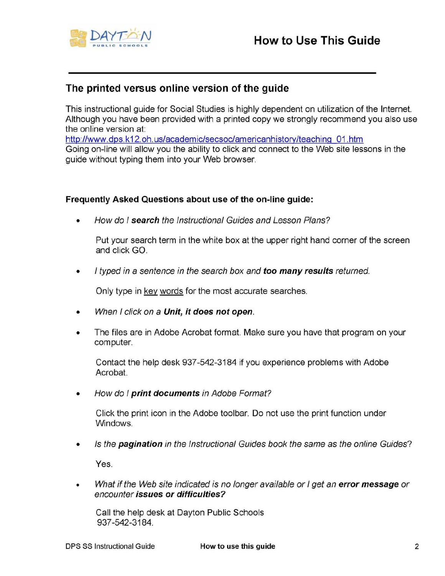

### The printed versus online version of the guide

This instructional guide for Social Studies is highly dependent on utilization of the Internet. Although you have been provided with a printed copy we strongly recommend you also use the online version at:

http://www.dps.k12.oh.us/academic/secsoc/americanhistorv/teaching 01.htm Going on-line will allow you the ability to click and connect to the Web site lessons in the guide without typing them into your Web browser.

### Frequently Asked Questions about use of the on-line guide:

• How do I search the Instructional Guides and Lesson Plans?

Put your search term in the white box at the upper right hand corner of the screen and click GO.

• I typed in a sentence in the search box and too many results returned.

Only type in key words for the most accurate searches.

- When I click on a Unit, it does not open.
- The files are in Adobe Acrobat format. Make sure you have that program on your computer.

Contact the help desk 937-542-3184 if you experience problems with Adobe Acrobat.

• How do I print documents in Adobe Format?

Click the print icon in the Adobe toolbar. Do not use the print function under Windows.

• Is the **pagination** in the Instructional Guides book the same as the online Guides?

Yes.

What if the Web site indicated is no longer available or I get an error message or encounter issues or difficulties?

Call the help desk at Dayton Public Schools 937 -542-3184.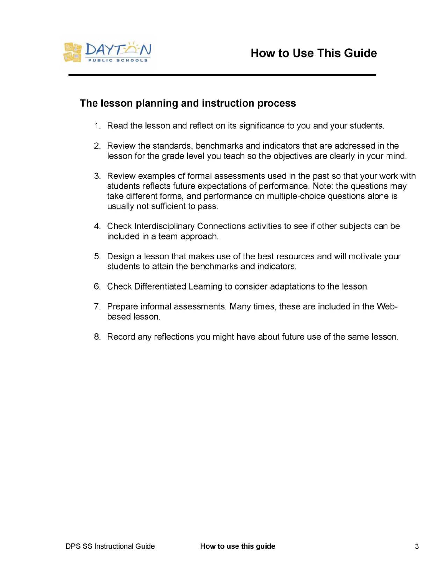

### **The lesson planning and instruction process**

- 1. Read the lesson and reflect on its significance to you and your students.
- 2. Review the standards, benchmarks and indicators that are addressed in the lesson for the grade level you teach so the objectives are clearly in your mind.
- 3. Review examples of formal assessments used in the past so that your work with students reflects future expectations of performance. Note: the questions may take different forms, and performance on multiple-choice questions alone is usually not sufficient to pass.
- 4. Check Interdisciplinary Connections activities to see if other subjects can be included in a team approach.
- 5. Design a lesson that makes use of the best resources and will motivate your students to attain the benchmarks and indicators.
- 6. Check Differentiated Learning to consider adaptations to the lesson.
- 7. Prepare informal assessments. Many times, these are included in the Webbased lesson.
- 8. Record any reflections you might have about future use of the same lesson.